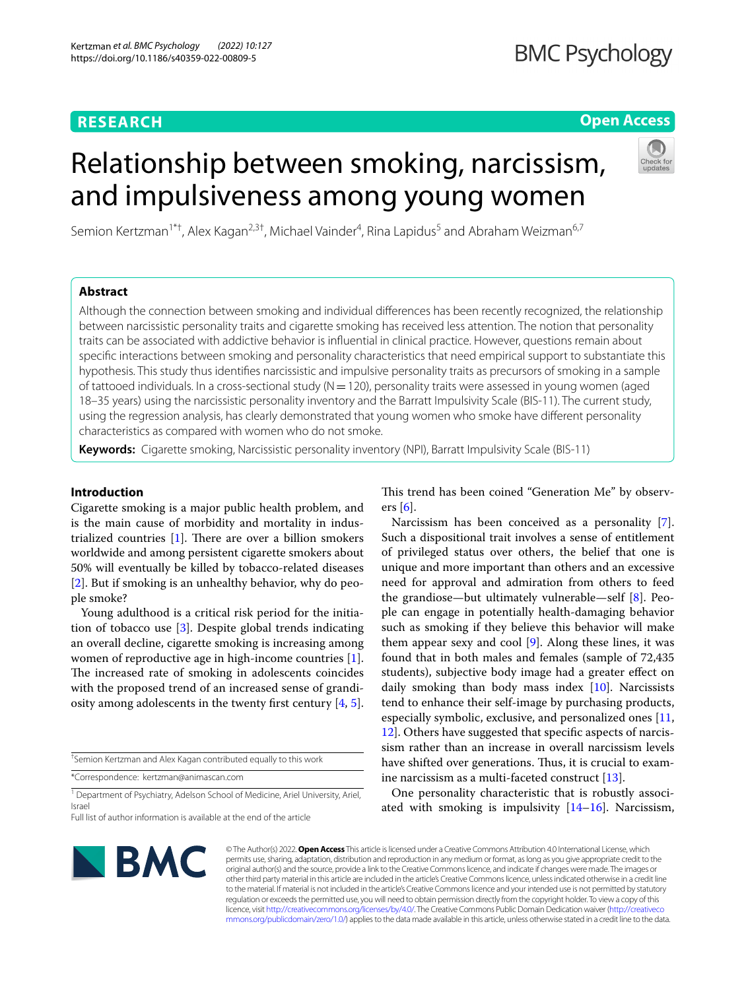## **RESEARCH**

## **Open Access**

# Relationship between smoking, narcissism, and impulsiveness among young women



Semion Kertzman<sup>1\*†</sup>, Alex Kagan<sup>2,3†</sup>, Michael Vainder<sup>4</sup>, Rina Lapidus<sup>5</sup> and Abraham Weizman<sup>6,7</sup>

## **Abstract**

Although the connection between smoking and individual diferences has been recently recognized, the relationship between narcissistic personality traits and cigarette smoking has received less attention. The notion that personality traits can be associated with addictive behavior is infuential in clinical practice. However, questions remain about specifc interactions between smoking and personality characteristics that need empirical support to substantiate this hypothesis. This study thus identifes narcissistic and impulsive personality traits as precursors of smoking in a sample of tattooed individuals. In a cross-sectional study ( $N=120$ ), personality traits were assessed in young women (aged 18–35 years) using the narcissistic personality inventory and the Barratt Impulsivity Scale (BIS-11). The current study, using the regression analysis, has clearly demonstrated that young women who smoke have diferent personality characteristics as compared with women who do not smoke.

**Keywords:** Cigarette smoking, Narcissistic personality inventory (NPI), Barratt Impulsivity Scale (BIS-11)

## **Introduction**

Cigarette smoking is a major public health problem, and is the main cause of morbidity and mortality in industrialized countries  $[1]$  $[1]$ . There are over a billion smokers worldwide and among persistent cigarette smokers about 50% will eventually be killed by tobacco-related diseases [[2\]](#page-5-1). But if smoking is an unhealthy behavior, why do people smoke?

Young adulthood is a critical risk period for the initiation of tobacco use [[3\]](#page-5-2). Despite global trends indicating an overall decline, cigarette smoking is increasing among women of reproductive age in high-income countries [\[1](#page-5-0)]. The increased rate of smoking in adolescents coincides with the proposed trend of an increased sense of grandiosity among adolescents in the twenty frst century [[4](#page-5-3), [5](#page-5-4)].

† Semion Kertzman and Alex Kagan contributed equally to this work

\*Correspondence: kertzman@animascan.com

<sup>1</sup> Department of Psychiatry, Adelson School of Medicine, Ariel University, Ariel, Israel

This trend has been coined "Generation Me" by observers [\[6](#page-5-5)].

Narcissism has been conceived as a personality [\[7](#page-5-6)]. Such a dispositional trait involves a sense of entitlement of privileged status over others, the belief that one is unique and more important than others and an excessive need for approval and admiration from others to feed the grandiose—but ultimately vulnerable—self [[8\]](#page-5-7). People can engage in potentially health-damaging behavior such as smoking if they believe this behavior will make them appear sexy and cool  $[9]$  $[9]$ . Along these lines, it was found that in both males and females (sample of 72,435 students), subjective body image had a greater efect on daily smoking than body mass index [\[10](#page-5-9)]. Narcissists tend to enhance their self-image by purchasing products, especially symbolic, exclusive, and personalized ones [[11](#page-5-10), [12\]](#page-5-11). Others have suggested that specifc aspects of narcissism rather than an increase in overall narcissism levels have shifted over generations. Thus, it is crucial to examine narcissism as a multi-faceted construct [\[13\]](#page-5-12).

One personality characteristic that is robustly associated with smoking is impulsivity  $[14–16]$  $[14–16]$ . Narcissism,



© The Author(s) 2022. **Open Access** This article is licensed under a Creative Commons Attribution 4.0 International License, which permits use, sharing, adaptation, distribution and reproduction in any medium or format, as long as you give appropriate credit to the original author(s) and the source, provide a link to the Creative Commons licence, and indicate if changes were made. The images or other third party material in this article are included in the article's Creative Commons licence, unless indicated otherwise in a credit line to the material. If material is not included in the article's Creative Commons licence and your intended use is not permitted by statutory regulation or exceeds the permitted use, you will need to obtain permission directly from the copyright holder. To view a copy of this licence, visit [http://creativecommons.org/licenses/by/4.0/.](http://creativecommons.org/licenses/by/4.0/) The Creative Commons Public Domain Dedication waiver ([http://creativeco](http://creativecommons.org/publicdomain/zero/1.0/) [mmons.org/publicdomain/zero/1.0/](http://creativecommons.org/publicdomain/zero/1.0/)) applies to the data made available in this article, unless otherwise stated in a credit line to the data.

Full list of author information is available at the end of the article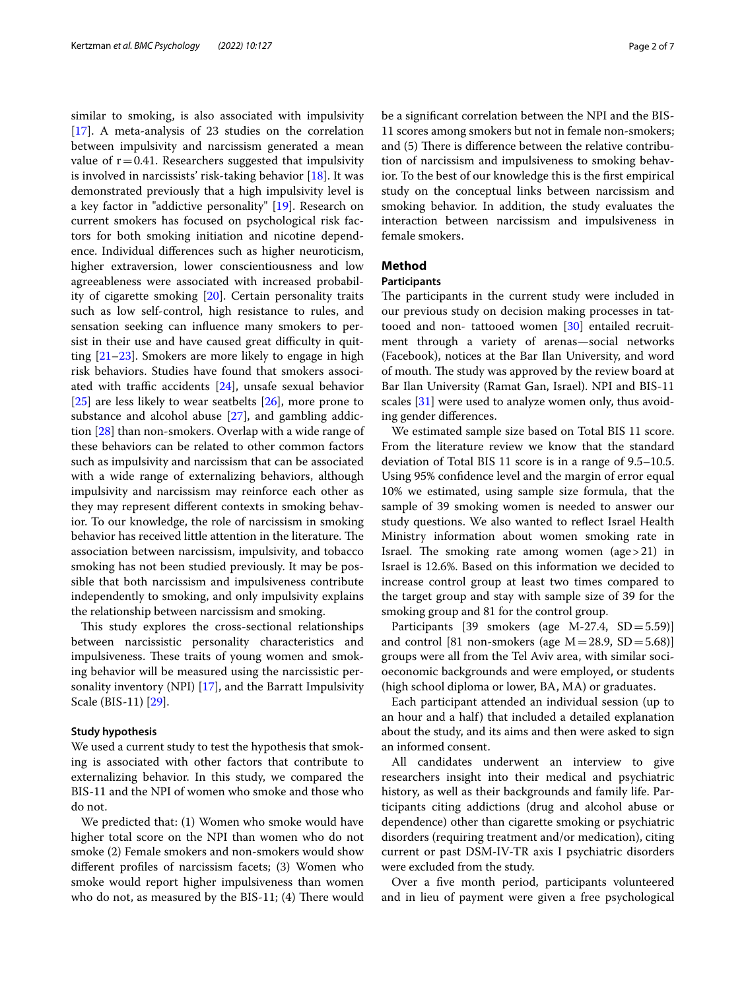similar to smoking, is also associated with impulsivity [[17\]](#page-6-0). A meta-analysis of 23 studies on the correlation between impulsivity and narcissism generated a mean value of  $r=0.41$ . Researchers suggested that impulsivity is involved in narcissists' risk-taking behavior [\[18](#page-6-1)]. It was demonstrated previously that a high impulsivity level is a key factor in "addictive personality" [[19](#page-6-2)]. Research on current smokers has focused on psychological risk factors for both smoking initiation and nicotine dependence. Individual diferences such as higher neuroticism, higher extraversion, lower conscientiousness and low agreeableness were associated with increased probability of cigarette smoking [\[20](#page-6-3)]. Certain personality traits such as low self-control, high resistance to rules, and sensation seeking can infuence many smokers to persist in their use and have caused great difficulty in quitting [\[21](#page-6-4)[–23\]](#page-6-5). Smokers are more likely to engage in high risk behaviors. Studies have found that smokers associated with traffic accidents  $[24]$ , unsafe sexual behavior [[25\]](#page-6-7) are less likely to wear seatbelts [\[26](#page-6-8)], more prone to substance and alcohol abuse [\[27](#page-6-9)], and gambling addiction [[28](#page-6-10)] than non-smokers. Overlap with a wide range of these behaviors can be related to other common factors such as impulsivity and narcissism that can be associated with a wide range of externalizing behaviors, although impulsivity and narcissism may reinforce each other as they may represent diferent contexts in smoking behavior. To our knowledge, the role of narcissism in smoking behavior has received little attention in the literature. The association between narcissism, impulsivity, and tobacco smoking has not been studied previously. It may be possible that both narcissism and impulsiveness contribute independently to smoking, and only impulsivity explains the relationship between narcissism and smoking.

This study explores the cross-sectional relationships between narcissistic personality characteristics and impulsiveness. These traits of young women and smoking behavior will be measured using the narcissistic personality inventory (NPI) [[17](#page-6-0)], and the Barratt Impulsivity Scale (BIS-11) [\[29\]](#page-6-11).

#### **Study hypothesis**

We used a current study to test the hypothesis that smoking is associated with other factors that contribute to externalizing behavior. In this study, we compared the BIS-11 and the NPI of women who smoke and those who do not.

We predicted that: (1) Women who smoke would have higher total score on the NPI than women who do not smoke (2) Female smokers and non-smokers would show diferent profles of narcissism facets; (3) Women who smoke would report higher impulsiveness than women who do not, as measured by the  $BIS-11$ ; (4) There would be a signifcant correlation between the NPI and the BIS-11 scores among smokers but not in female non-smokers; and (5) There is difference between the relative contribution of narcissism and impulsiveness to smoking behavior. To the best of our knowledge this is the frst empirical study on the conceptual links between narcissism and smoking behavior. In addition, the study evaluates the interaction between narcissism and impulsiveness in female smokers.

## **Method**

## **Participants**

The participants in the current study were included in our previous study on decision making processes in tat-tooed and non- tattooed women [[30\]](#page-6-12) entailed recruitment through a variety of arenas—social networks (Facebook), notices at the Bar Ilan University, and word of mouth. The study was approved by the review board at Bar Ilan University (Ramat Gan, Israel). NPI and BIS-11 scales [\[31](#page-6-13)] were used to analyze women only, thus avoiding gender diferences.

We estimated sample size based on Total BIS 11 score. From the literature review we know that the standard deviation of Total BIS 11 score is in a range of 9.5–10.5. Using 95% confdence level and the margin of error equal 10% we estimated, using sample size formula, that the sample of 39 smoking women is needed to answer our study questions. We also wanted to refect Israel Health Ministry information about women smoking rate in Israel. The smoking rate among women (age  $>21$ ) in Israel is 12.6%. Based on this information we decided to increase control group at least two times compared to the target group and stay with sample size of 39 for the smoking group and 81 for the control group.

Participants [39 smokers (age M-27.4, SD=5.59)] and control [81 non-smokers (age  $M = 28.9$ ,  $SD = 5.68$ )] groups were all from the Tel Aviv area, with similar socioeconomic backgrounds and were employed, or students (high school diploma or lower, BA, MA) or graduates.

Each participant attended an individual session (up to an hour and a half) that included a detailed explanation about the study, and its aims and then were asked to sign an informed consent.

All candidates underwent an interview to give researchers insight into their medical and psychiatric history, as well as their backgrounds and family life. Participants citing addictions (drug and alcohol abuse or dependence) other than cigarette smoking or psychiatric disorders (requiring treatment and/or medication), citing current or past DSM-IV-TR axis I psychiatric disorders were excluded from the study.

Over a fve month period, participants volunteered and in lieu of payment were given a free psychological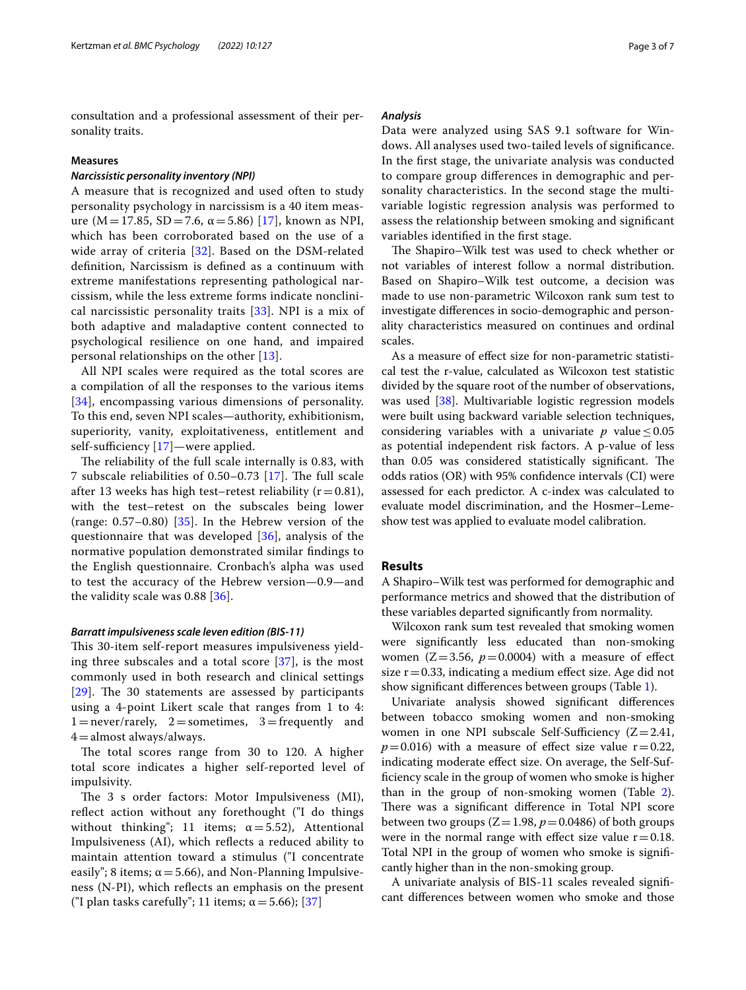consultation and a professional assessment of their personality traits.

## **Measures**

## *Narcissistic personality inventory (NPI)*

A measure that is recognized and used often to study personality psychology in narcissism is a 40 item measure ( $M = 17.85$  $M = 17.85$  $M = 17.85$ ,  $SD = 7.6$ ,  $\alpha = 5.86$ ) [17], known as NPI, which has been corroborated based on the use of a wide array of criteria [[32\]](#page-6-14). Based on the DSM-related defnition, Narcissism is defned as a continuum with extreme manifestations representing pathological narcissism, while the less extreme forms indicate nonclinical narcissistic personality traits  $[33]$  $[33]$  $[33]$ . NPI is a mix of both adaptive and maladaptive content connected to psychological resilience on one hand, and impaired personal relationships on the other [[13\]](#page-5-12).

All NPI scales were required as the total scores are a compilation of all the responses to the various items [[34](#page-6-16)], encompassing various dimensions of personality. To this end, seven NPI scales—authority, exhibitionism, superiority, vanity, exploitativeness, entitlement and self-sufficiency  $[17]$  $[17]$ —were applied.

The reliability of the full scale internally is 0.83, with 7 subscale reliabilities of  $0.50-0.73$  [[17](#page-6-0)]. The full scale after 13 weeks has high test–retest reliability ( $r=0.81$ ), with the test–retest on the subscales being lower (range:  $0.57-0.80$ ) [ $35$ ]. In the Hebrew version of the questionnaire that was developed [[36\]](#page-6-18), analysis of the normative population demonstrated similar fndings to the English questionnaire. Cronbach's alpha was used to test the accuracy of the Hebrew version—0.9—and the validity scale was 0.88 [[36\]](#page-6-18).

#### *Barratt impulsiveness scale leven edition (BIS‑11)*

This 30-item self-report measures impulsiveness yielding three subscales and a total score  $[37]$ , is the most commonly used in both research and clinical settings  $[29]$  $[29]$  $[29]$ . The 30 statements are assessed by participants using a 4-point Likert scale that ranges from 1 to 4:  $1 =$ never/rarely,  $2 =$ sometimes,  $3 =$ frequently and  $4=$ almost always/always.

The total scores range from 30 to 120. A higher total score indicates a higher self-reported level of impulsivity.

The 3 s order factors: Motor Impulsiveness (MI), reflect action without any forethought ("I do things without thinking"; 11 items;  $\alpha = 5.52$ ), Attentional Impulsiveness (AI), which refects a reduced ability to maintain attention toward a stimulus ("I concentrate easily"; 8 items;  $\alpha$  = 5.66), and Non-Planning Impulsiveness (N-PI), which refects an emphasis on the present ("I plan tasks carefully"; 11 items;  $\alpha$  = 5.66); [[37](#page-6-19)]

#### *Analysis*

Data were analyzed using SAS 9.1 software for Windows. All analyses used two-tailed levels of signifcance. In the frst stage, the univariate analysis was conducted to compare group diferences in demographic and personality characteristics. In the second stage the multivariable logistic regression analysis was performed to assess the relationship between smoking and signifcant variables identifed in the frst stage.

The Shapiro–Wilk test was used to check whether or not variables of interest follow a normal distribution. Based on Shapiro–Wilk test outcome, a decision was made to use non-parametric Wilcoxon rank sum test to investigate diferences in socio-demographic and personality characteristics measured on continues and ordinal scales.

As a measure of efect size for non-parametric statistical test the r-value, calculated as Wilcoxon test statistic divided by the square root of the number of observations, was used [[38\]](#page-6-20). Multivariable logistic regression models were built using backward variable selection techniques, considering variables with a univariate  $p$  value  $\leq 0.05$ as potential independent risk factors. A p-value of less than 0.05 was considered statistically significant. The odds ratios (OR) with 95% confdence intervals (CI) were assessed for each predictor. A c-index was calculated to evaluate model discrimination, and the Hosmer–Lemeshow test was applied to evaluate model calibration.

## **Results**

A Shapiro–Wilk test was performed for demographic and performance metrics and showed that the distribution of these variables departed signifcantly from normality.

Wilcoxon rank sum test revealed that smoking women were signifcantly less educated than non-smoking women  $(Z=3.56, p=0.0004)$  with a measure of effect size  $r=0.33$ , indicating a medium effect size. Age did not show signifcant diferences between groups (Table [1](#page-3-0)).

Univariate analysis showed signifcant diferences between tobacco smoking women and non-smoking women in one NPI subscale Self-Sufficiency  $(Z=2.41,$  $p=0.016$ ) with a measure of effect size value  $r=0.22$ , indicating moderate efect size. On average, the Self-Suffciency scale in the group of women who smoke is higher than in the group of non-smoking women (Table [2](#page-3-1)). There was a significant difference in Total NPI score between two groups  $(Z=1.98, p=0.0486)$  of both groups were in the normal range with effect size value  $r = 0.18$ . Total NPI in the group of women who smoke is signifcantly higher than in the non-smoking group.

A univariate analysis of BIS-11 scales revealed signifcant diferences between women who smoke and those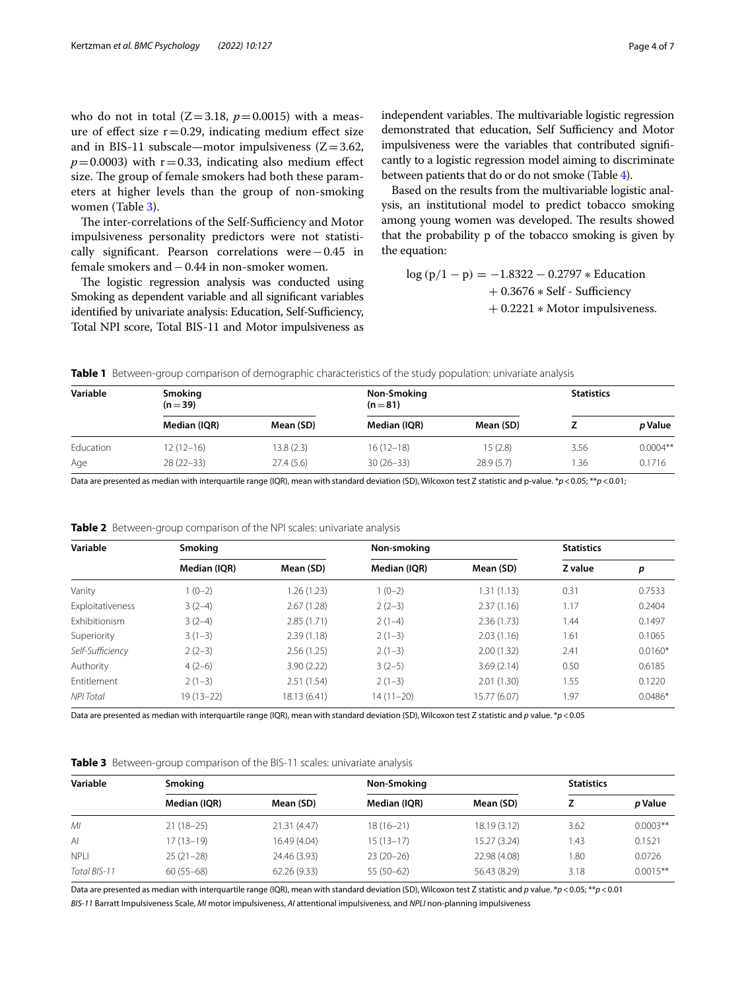who do not in total  $(Z=3.18, p=0.0015)$  with a measure of effect size  $r=0.29$ , indicating medium effect size and in BIS-11 subscale—motor impulsiveness  $(Z=3.62,$  $p=0.0003$ ) with  $r=0.33$ , indicating also medium effect size. The group of female smokers had both these parameters at higher levels than the group of non-smoking women (Table [3](#page-3-2)).

The inter-correlations of the Self-Sufficiency and Motor impulsiveness personality predictors were not statistically signifcant. Pearson correlations were−0.45 in female smokers and−0.44 in non-smoker women.

The logistic regression analysis was conducted using Smoking as dependent variable and all signifcant variables identified by univariate analysis: Education, Self-Sufficiency, Total NPI score, Total BIS-11 and Motor impulsiveness as independent variables. The multivariable logistic regression demonstrated that education, Self Sufficiency and Motor impulsiveness were the variables that contributed signifcantly to a logistic regression model aiming to discriminate between patients that do or do not smoke (Table [4](#page-4-0)).

Based on the results from the multivariable logistic analysis, an institutional model to predict tobacco smoking among young women was developed. The results showed that the probability p of the tobacco smoking is given by the equation:

$$
log (p/1 - p) = -1.8322 - 0.2797 * Education
$$
  
+ 0.3676 \* Self - Sufficiency  
+ 0.2221 \* Motor impulsiveness.

<span id="page-3-0"></span>**Table 1** Between-group comparison of demographic characteristics of the study population: univariate analysis

| Variable  | <b>Smoking</b><br>$(n=39)$ |            | Non-Smoking<br>$(n=81)$ |           | <b>Statistics</b> |            |
|-----------|----------------------------|------------|-------------------------|-----------|-------------------|------------|
|           | Median (IQR)               | Mean (SD)  | Median (IQR)            | Mean (SD) |                   | p Value    |
| Education | $12(12-16)$                | 13.8 (2.3) | $16(12-18)$             | 15(2.8)   | 3.56              | $0.0004**$ |
| Age       | $28(22-33)$                | 27.4(5.6)  | $30(26-33)$             | 28.9(5.7) | .36               | 0.1716     |

Data are presented as median with interquartile range (IQR), mean with standard deviation (SD), Wilcoxon test Z statistic and p-value. \**p*<0.05; \*\**p*<0.01;

| Variable             | Smoking       |              | Non-smoking  |              | <b>Statistics</b> |           |
|----------------------|---------------|--------------|--------------|--------------|-------------------|-----------|
|                      | Median (IQR)  | Mean (SD)    | Median (IOR) | Mean (SD)    | Z value           | р         |
| Vanity               | $(0-2)$       | 1.26 (1.23)  | $1(0-2)$     | 1.31(1.13)   | 0.31              | 0.7533    |
| Exploitativeness     | $3(2-4)$      | 2.67(1.28)   | $2(2-3)$     | 2.37(1.16)   | 1.17              | 0.2404    |
| <b>Fxhibitionism</b> | $3(2-4)$      | 2.85(1.71)   | $2(1-4)$     | 2.36(1.73)   | 1.44              | 0.1497    |
| Superiority          | $3(1-3)$      | 2.39(1.18)   | $2(1-3)$     | 2.03(1.16)   | 1.61              | 0.1065    |
| Self-Sufficiency     | $2(2-3)$      | 2.56(1.25)   | $2(1-3)$     | 2.00(1.32)   | 2.41              | $0.0160*$ |
| Authority            | $4(2-6)$      | 3.90(2.22)   | $3(2-5)$     | 3.69(2.14)   | 0.50              | 0.6185    |
| Entitlement          | $2(1-3)$      | 2.51(1.54)   | $2(1-3)$     | 2.01(1.30)   | 1.55              | 0.1220    |
| <b>NPI</b> Total     | $19(13 - 22)$ | 18.13 (6.41) | 14 (11–20)   | 15.77 (6.07) | 1.97              | $0.0486*$ |

<span id="page-3-1"></span>**Table 2** Between-group comparison of the NPI scales: univariate analysis

Data are presented as median with interquartile range (IQR), mean with standard deviation (SD), Wilcoxon test Z statistic and *p* value. \**p*<0.05

<span id="page-3-2"></span>

|  |  |  |  | Table 3 Between-group comparison of the BIS-11 scales: univariate analysis |  |
|--|--|--|--|----------------------------------------------------------------------------|--|
|--|--|--|--|----------------------------------------------------------------------------|--|

| Variable     | <b>Smoking</b> |              | Non-Smoking   |              | <b>Statistics</b> |             |
|--------------|----------------|--------------|---------------|--------------|-------------------|-------------|
|              | Median (IOR)   | Mean (SD)    | Median (IOR)  | Mean (SD)    |                   | p Value     |
| MI           | $21(18-25)$    | 21.31 (4.47) | $18(16 - 21)$ | 18.19(3.12)  | 3.62              | $0.0003**$  |
| AI           | $17(13-19)$    | 16.49 (4.04) | $15(13-17)$   | 15.27 (3.24) | . 43              | 0.1521      |
| <b>NPLI</b>  | $25(21-28)$    | 24.46 (3.93) | $23(20-26)$   | 22.98 (4.08) | 1.80              | 0.0726      |
| Total BIS-11 | $60(55-68)$    | 62.26 (9.33) | $55(50-62)$   | 56.43 (8.29) | 3.18              | $0.0015***$ |

Data are presented as median with interquartile range (IQR), mean with standard deviation (SD), Wilcoxon test Z statistic and *p* value. \**p*<0.05; \*\**p*<0.01 *BIS-11* Barratt Impulsiveness Scale, *MI* motor impulsiveness, *AI* attentional impulsiveness, and *NPLI* non-planning impulsiveness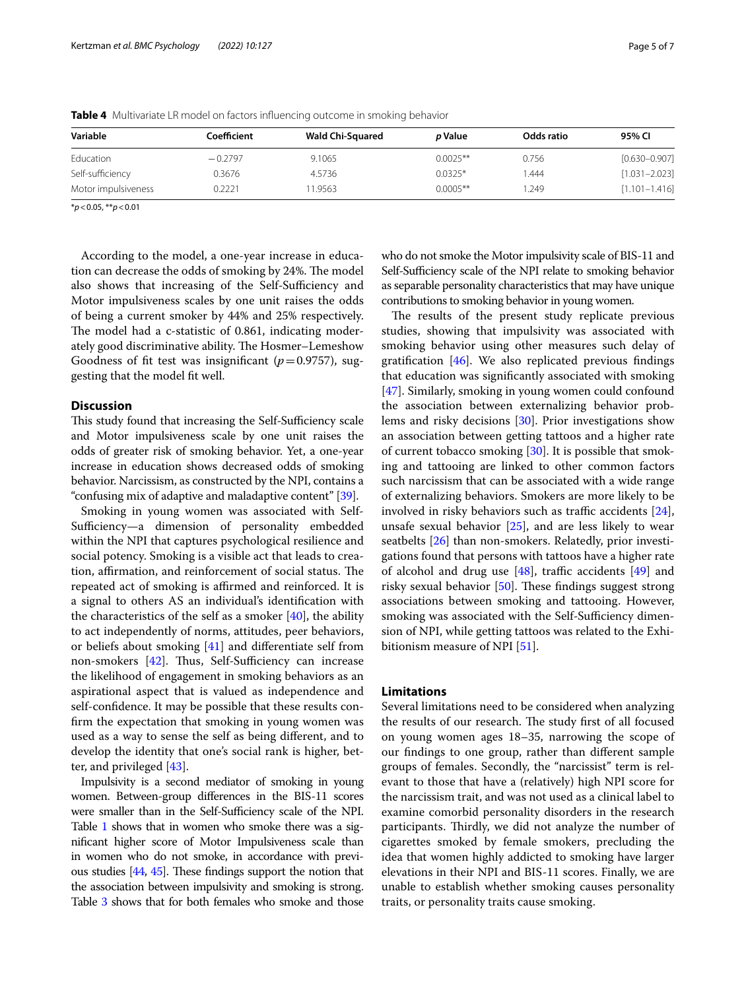| Coefficient | <b>Wald Chi-Squared</b> | <i>p</i> Value | Odds ratio | 95% CI            |  |
|-------------|-------------------------|----------------|------------|-------------------|--|
| $-0.2797$   | 9.1065                  | $0.0025**$     | 0.756      | $[0.630 - 0.907]$ |  |
| 0.3676      | 4.5736                  | $0.0325*$      | 444.       | $[1.031 - 2.023]$ |  |
| 0.2221      | 1.9563                  | $0.0005**$     | .249       | $[1.101 - 1.416]$ |  |
|             |                         |                |            |                   |  |

<span id="page-4-0"></span>**Table 4** Multivariate LR model on factors infuencing outcome in smoking behavior

\**p*<0.05, \*\**p*<0.01

According to the model, a one-year increase in education can decrease the odds of smoking by 24%. The model also shows that increasing of the Self-Sufficiency and Motor impulsiveness scales by one unit raises the odds of being a current smoker by 44% and 25% respectively. The model had a c-statistic of 0.861, indicating moderately good discriminative ability. The Hosmer-Lemeshow Goodness of fit test was insignificant  $(p=0.9757)$ , suggesting that the model ft well.

## **Discussion**

This study found that increasing the Self-Sufficiency scale and Motor impulsiveness scale by one unit raises the odds of greater risk of smoking behavior. Yet, a one-year increase in education shows decreased odds of smoking behavior. Narcissism, as constructed by the NPI, contains a "confusing mix of adaptive and maladaptive content" [[39](#page-6-21)].

Smoking in young women was associated with Self-Sufficiency—a dimension of personality embedded within the NPI that captures psychological resilience and social potency. Smoking is a visible act that leads to creation, affirmation, and reinforcement of social status. The repeated act of smoking is affirmed and reinforced. It is a signal to others AS an individual's identifcation with the characteristics of the self as a smoker  $[40]$  $[40]$ , the ability to act independently of norms, attitudes, peer behaviors, or beliefs about smoking [\[41\]](#page-6-23) and diferentiate self from non-smokers  $[42]$  $[42]$ . Thus, Self-Sufficiency can increase the likelihood of engagement in smoking behaviors as an aspirational aspect that is valued as independence and self-confdence. It may be possible that these results confrm the expectation that smoking in young women was used as a way to sense the self as being diferent, and to develop the identity that one's social rank is higher, better, and privileged [[43](#page-6-25)].

Impulsivity is a second mediator of smoking in young women. Between-group diferences in the BIS-11 scores were smaller than in the Self-Sufficiency scale of the NPI. Table [1](#page-3-0) shows that in women who smoke there was a signifcant higher score of Motor Impulsiveness scale than in women who do not smoke, in accordance with previous studies  $[44, 45]$  $[44, 45]$  $[44, 45]$ . These findings support the notion that the association between impulsivity and smoking is strong. Table [3](#page-3-2) shows that for both females who smoke and those who do not smoke the Motor impulsivity scale of BIS-11 and Self-Sufficiency scale of the NPI relate to smoking behavior as separable personality characteristics that may have unique contributions to smoking behavior in young women.

The results of the present study replicate previous studies, showing that impulsivity was associated with smoking behavior using other measures such delay of gratifcation [\[46\]](#page-6-28). We also replicated previous fndings that education was signifcantly associated with smoking [[47\]](#page-6-29). Similarly, smoking in young women could confound the association between externalizing behavior problems and risky decisions [\[30](#page-6-12)]. Prior investigations show an association between getting tattoos and a higher rate of current tobacco smoking [\[30](#page-6-12)]. It is possible that smoking and tattooing are linked to other common factors such narcissism that can be associated with a wide range of externalizing behaviors. Smokers are more likely to be involved in risky behaviors such as traffic accidents  $[24]$  $[24]$ , unsafe sexual behavior [\[25](#page-6-7)], and are less likely to wear seatbelts [\[26\]](#page-6-8) than non-smokers. Relatedly, prior investigations found that persons with tattoos have a higher rate of alcohol and drug use  $[48]$  $[48]$  $[48]$ , traffic accidents  $[49]$  $[49]$  and risky sexual behavior  $[50]$ . These findings suggest strong associations between smoking and tattooing. However, smoking was associated with the Self-Sufficiency dimension of NPI, while getting tattoos was related to the Exhi-bitionism measure of NPI [\[51](#page-6-33)].

## **Limitations**

Several limitations need to be considered when analyzing the results of our research. The study first of all focused on young women ages 18–35, narrowing the scope of our fndings to one group, rather than diferent sample groups of females. Secondly, the "narcissist" term is relevant to those that have a (relatively) high NPI score for the narcissism trait, and was not used as a clinical label to examine comorbid personality disorders in the research participants. Thirdly, we did not analyze the number of cigarettes smoked by female smokers, precluding the idea that women highly addicted to smoking have larger elevations in their NPI and BIS-11 scores. Finally, we are unable to establish whether smoking causes personality traits, or personality traits cause smoking.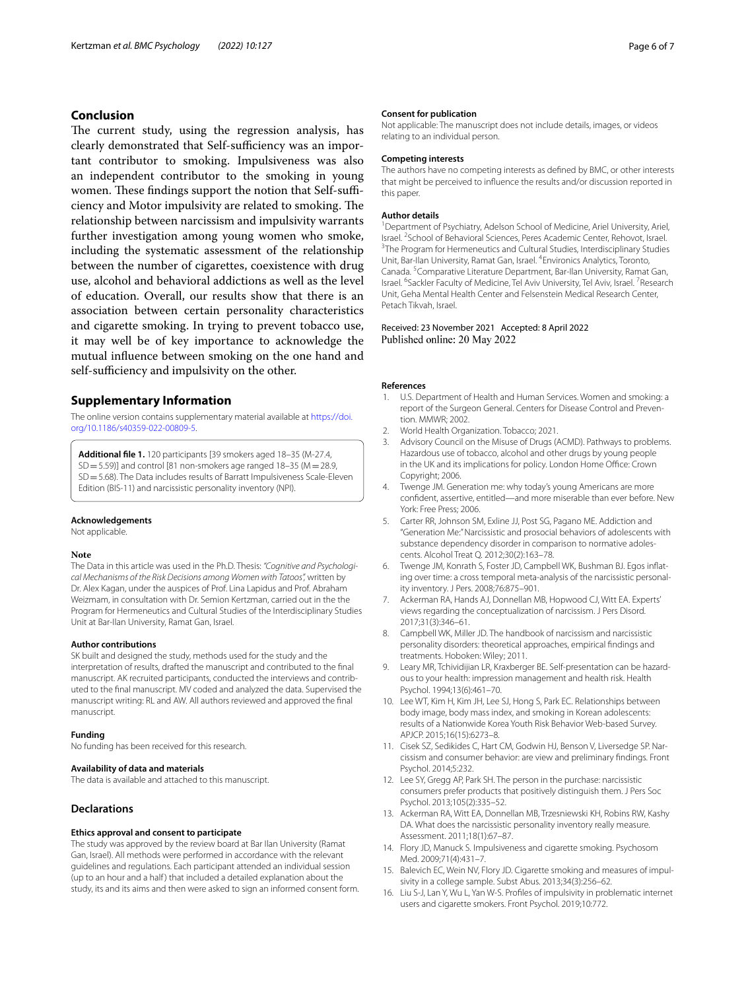## **Conclusion**

The current study, using the regression analysis, has clearly demonstrated that Self-sufficiency was an important contributor to smoking. Impulsiveness was also an independent contributor to the smoking in young women. These findings support the notion that Self-sufficiency and Motor impulsivity are related to smoking. The relationship between narcissism and impulsivity warrants further investigation among young women who smoke, including the systematic assessment of the relationship between the number of cigarettes, coexistence with drug use, alcohol and behavioral addictions as well as the level of education. Overall, our results show that there is an association between certain personality characteristics and cigarette smoking. In trying to prevent tobacco use, it may well be of key importance to acknowledge the mutual infuence between smoking on the one hand and self-sufficiency and impulsivity on the other.

## **Supplementary Information**

The online version contains supplementary material available at [https://doi.](https://doi.org/10.1186/s40359-022-00809-5) [org/10.1186/s40359-022-00809-5](https://doi.org/10.1186/s40359-022-00809-5).

**Additional fle 1.** 120 participants [39 smokers aged 18–35 (M-27.4,  $SD = 5.59$ ] and control [81 non-smokers age ranged 18–35 (M = 28.9, SD=5.68). The Data includes results of Barratt Impulsiveness Scale-Eleven Edition (BIS-11) and narcissistic personality inventory (NPI).

#### **Acknowledgements**

Not applicable.

#### **Note**

The Data in this article was used in the Ph.D. Thesis: *"Cognitive and Psychological Mechanisms of the Risk Decisions among Women with Tatoos",* written by Dr. Alex Kagan, under the auspices of Prof. Lina Lapidus and Prof. Abraham Weizmam, in consultation with Dr. Semion Kertzman, carried out in the the Program for Hermeneutics and Cultural Studies of the Interdisciplinary Studies Unit at Bar-Ilan University, Ramat Gan, Israel.

#### **Author contributions**

SK built and designed the study, methods used for the study and the interpretation of results, drafted the manuscript and contributed to the fnal manuscript. AK recruited participants, conducted the interviews and contributed to the fnal manuscript. MV coded and analyzed the data. Supervised the manuscript writing: RL and AW. All authors reviewed and approved the fnal manuscript.

#### **Funding**

No funding has been received for this research.

#### **Availability of data and materials**

The data is available and attached to this manuscript.

#### **Declarations**

#### **Ethics approval and consent to participate**

The study was approved by the review board at Bar Ilan University (Ramat Gan, Israel). All methods were performed in accordance with the relevant guidelines and regulations. Each participant attended an individual session (up to an hour and a half) that included a detailed explanation about the study, its and its aims and then were asked to sign an informed consent form.

#### **Consent for publication**

Not applicable: The manuscript does not include details, images, or videos relating to an individual person.

#### **Competing interests**

The authors have no competing interests as defned by BMC, or other interests that might be perceived to infuence the results and/or discussion reported in this paper.

#### **Author details**

<sup>1</sup> Department of Psychiatry, Adelson School of Medicine, Ariel University, Ariel, Israel. <sup>2</sup> School of Behavioral Sciences, Peres Academic Center, Rehovot, Israel.<br><sup>3</sup>The Program for Hermeneutics and Cultural Studies Interdisciplinary Studies <sup>3</sup>The Program for Hermeneutics and Cultural Studies, Interdisciplinary Studies Unit, Bar-Ilan University, Ramat Gan, Israel. <sup>4</sup> Environics Analytics, Toronto, Canada.<sup>5</sup> Comparative Literature Department, Bar-Ilan University, Ramat Gan, Israel. <sup>6</sup>Sackler Faculty of Medicine, Tel Aviv University, Tel Aviv, Israel. <sup>7</sup> Research Unit, Geha Mental Health Center and Felsenstein Medical Research Center, Petach Tikvah, Israel.

## Received: 23 November 2021 Accepted: 8 April 2022

#### **References**

- <span id="page-5-0"></span>1. U.S. Department of Health and Human Services. Women and smoking: a report of the Surgeon General. Centers for Disease Control and Prevention. MMWR; 2002.
- <span id="page-5-1"></span>2. World Health Organization. Tobacco; 2021.
- <span id="page-5-2"></span>3. Advisory Council on the Misuse of Drugs (ACMD). Pathways to problems. Hazardous use of tobacco, alcohol and other drugs by young people in the UK and its implications for policy. London Home Office: Crown Copyright; 2006.
- <span id="page-5-3"></span>4. Twenge JM. Generation me: why today's young Americans are more confdent, assertive, entitled—and more miserable than ever before. New York: Free Press; 2006.
- <span id="page-5-4"></span>5. Carter RR, Johnson SM, Exline JJ, Post SG, Pagano ME. Addiction and "Generation Me:" Narcissistic and prosocial behaviors of adolescents with substance dependency disorder in comparison to normative adolescents. Alcohol Treat Q. 2012;30(2):163–78.
- <span id="page-5-5"></span>6. Twenge JM, Konrath S, Foster JD, Campbell WK, Bushman BJ. Egos infating over time: a cross temporal meta-analysis of the narcissistic personality inventory. J Pers. 2008;76:875–901.
- <span id="page-5-6"></span>7. Ackerman RA, Hands AJ, Donnellan MB, Hopwood CJ, Witt EA. Experts' views regarding the conceptualization of narcissism. J Pers Disord. 2017;31(3):346–61.
- <span id="page-5-7"></span>8. Campbell WK, Miller JD. The handbook of narcissism and narcissistic personality disorders: theoretical approaches, empirical fndings and treatments. Hoboken: Wiley; 2011.
- <span id="page-5-8"></span>9. Leary MR, Tchividijian LR, Kraxberger BE. Self-presentation can be hazardous to your health: impression management and health risk. Health Psychol. 1994;13(6):461–70.
- <span id="page-5-9"></span>10. Lee WT, Kim H, Kim JH, Lee SJ, Hong S, Park EC. Relationships between body image, body mass index, and smoking in Korean adolescents: results of a Nationwide Korea Youth Risk Behavior Web-based Survey. APJCP. 2015;16(15):6273–8.
- <span id="page-5-10"></span>11. Cisek SZ, Sedikides C, Hart CM, Godwin HJ, Benson V, Liversedge SP. Narcissism and consumer behavior: are view and preliminary fndings. Front Psychol. 2014;5:232.
- <span id="page-5-11"></span>12. Lee SY, Gregg AP, Park SH. The person in the purchase: narcissistic consumers prefer products that positively distinguish them. J Pers Soc Psychol. 2013;105(2):335–52.
- <span id="page-5-12"></span>13. Ackerman RA, Witt EA, Donnellan MB, Trzesniewski KH, Robins RW, Kashy DA. What does the narcissistic personality inventory really measure. Assessment. 2011;18(1):67–87.
- <span id="page-5-13"></span>14. Flory JD, Manuck S. Impulsiveness and cigarette smoking. Psychosom Med. 2009;71(4):431–7.
- 15. Balevich EC, Wein NV, Flory JD. Cigarette smoking and measures of impulsivity in a college sample. Subst Abus. 2013;34(3):256–62.
- <span id="page-5-14"></span>16. Liu S-J, Lan Y, Wu L, Yan W-S. Profles of impulsivity in problematic internet users and cigarette smokers. Front Psychol. 2019;10:772.